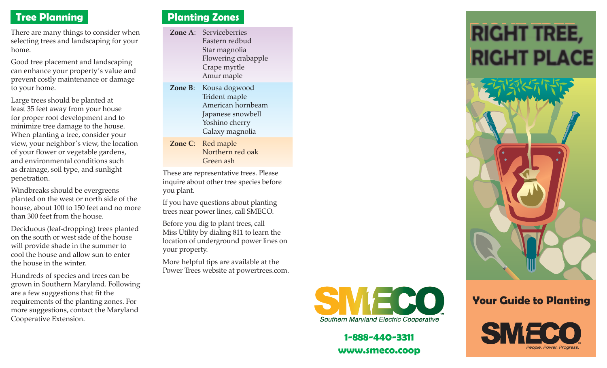## **Tree Planning**

There are many things to consider when selecting trees and landscaping for your home.

Good tree placement and landscaping can enhance your property's value and prevent costly maintenance or damage to your home.

Large trees should be planted at least 35 feet away from your house for proper root development and to minimize tree damage to the house. When planting a tree, consider your view, your neighbor's view, the location of your flower or vegetable gardens, and environmental conditions such as drainage, soil type, and sunlight penetration.

Windbreaks should be evergreens planted on the west or north side of the house, about 100 to 150 feet and no more than 300 feet from the house.

Deciduous (leaf-dropping) trees planted on the south or west side of the house will provide shade in the summer to cool the house and allow sun to enter the house in the winter.

Hundreds of species and trees can be grown in Southern Maryland. Following are a few suggestions that fit the requirements of the planting zones. For more suggestions, contact the Maryland Cooperative Extension.

## **Planting Zones**

- **Zone A**: Serviceberries Eastern redbud Star magnolia Flowering crabapple Crape myrtle Amur maple
- **Zone B**: Kousa dogwood Trident maple American hornbeam Japanese snowbell Yoshino cherry Galaxy magnolia
- **Zone C**: Red maple Northern red oak Green ash

These are representative trees. Please inquire about other tree species before you plant.

If you have questions about planting trees near power lines, call SMECO.

Before you dig to plant trees, call Miss Utility by dialing 811 to learn the location of underground power lines on your property.

More helpful tips are available at the Power Trees website at powertrees.com.



**1-888-440-3311www.smeco.coop**

# **RIGHT TREE, RIGHT PLACE**



## **Your Guide to Planting**